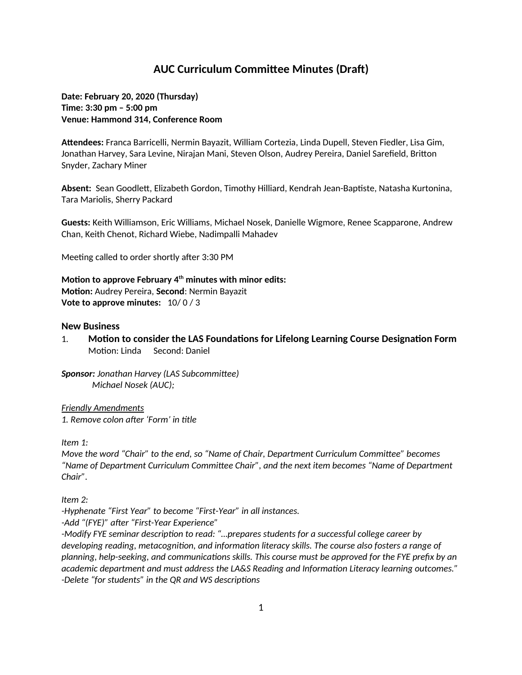# **AUC Curriculum Committee Minutes (Draft)**

**Date: February 20, 2020 (Thursday) Time: 3:30 pm – 5:00 pm Venue: Hammond 314, Conference Room**

**Attendees:** Franca Barricelli, Nermin Bayazit, William Cortezia, Linda Dupell, Steven Fiedler, Lisa Gim, Jonathan Harvey, Sara Levine, Nirajan Mani, Steven Olson, Audrey Pereira, Daniel Sarefield, Britton Snyder, Zachary Miner

**Absent:** Sean Goodlett, Elizabeth Gordon, Timothy Hilliard, Kendrah Jean-Baptiste, Natasha Kurtonina, Tara Mariolis, Sherry Packard

**Guests:** Keith Williamson, Eric Williams, Michael Nosek, Danielle Wigmore, Renee Scapparone, Andrew Chan, Keith Chenot, Richard Wiebe, Nadimpalli Mahadev

Meeting called to order shortly after 3:30 PM

**Motion to approve February 4th minutes with minor edits: Motion:** Audrey Pereira, **Second**: Nermin Bayazit **Vote to approve minutes:** 10/ 0 / 3

#### **New Business**

1. **Motion to consider the LAS Foundations for Lifelong Learning Course Designation Form** Motion: Linda Second: Daniel

*Sponsor: Jonathan Harvey (LAS Subcommittee) Michael Nosek (AUC);*

*Friendly Amendments 1. Remove colon after 'Form' in title*

*Item 1:*

*Move the word "Chair" to the end, so "Name of Chair, Department Curriculum Committee" becomes "Name of Department Curriculum Committee Chair", and the next item becomes "Name of Department Chair".*

*Item 2:*

*-Hyphenate "First Year" to become "First-Year" in all instances.*

*-Add "(FYE)" after "First-Year Experience"*

*-Modify FYE seminar description to read: "…prepares students for a successful college career by developing reading, metacognition, and information literacy skills. The course also fosters a range of planning, help-seeking, and communications skills. This course must be approved for the FYE prefix by an academic department and must address the LA&S Reading and Information Literacy learning outcomes." -Delete "for students" in the QR and WS descriptions*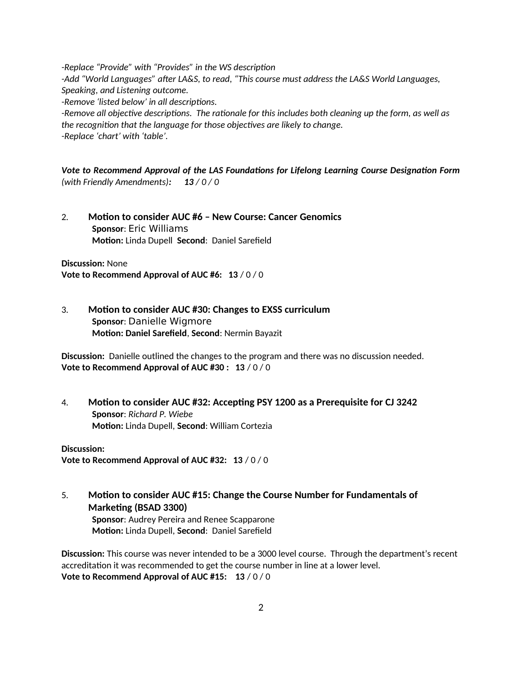*-Replace "Provide" with "Provides" in the WS description -Add "World Languages" after LA&S, to read, "This course must address the LA&S World Languages, Speaking, and Listening outcome. -Remove 'listed below' in all descriptions. -Remove all objective descriptions. The rationale for this includes both cleaning up the form, as well as* 

*the recognition that the language for those objectives are likely to change. -Replace 'chart' with 'table'.*

*Vote to Recommend Approval of the LAS Foundations for Lifelong Learning Course Designation Form (with Friendly Amendments): 13 / 0 / 0*

2. **Motion to consider AUC #6 – New Course: Cancer Genomics Sponsor**: Eric Williams **Motion:** Linda Dupell **Second**: Daniel Sarefield

**Discussion:** None **Vote to Recommend Approval of AUC #6: 13** / 0 / 0

3. **Motion to consider AUC #30: Changes to EXSS curriculum Sponsor**: Danielle Wigmore **Motion: Daniel Sarefield**, **Second**: Nermin Bayazit

**Discussion:** Danielle outlined the changes to the program and there was no discussion needed. **Vote to Recommend Approval of AUC #30 : 13** / 0 / 0

4. **Motion to consider AUC #32: Accepting PSY 1200 as a Prerequisite for CJ 3242 Sponsor**: *Richard P. Wiebe* **Motion:** Linda Dupell, **Second**: William Cortezia

**Discussion: Vote to Recommend Approval of AUC #32: 13** / 0 / 0

5. **Motion to consider AUC #15: Change the Course Number for Fundamentals of Marketing (BSAD 3300)**

**Sponsor**: Audrey Pereira and Renee Scapparone **Motion:** Linda Dupell, **Second**: Daniel Sarefield

**Discussion:** This course was never intended to be a 3000 level course. Through the department's recent accreditation it was recommended to get the course number in line at a lower level. **Vote to Recommend Approval of AUC #15: 13** / 0 / 0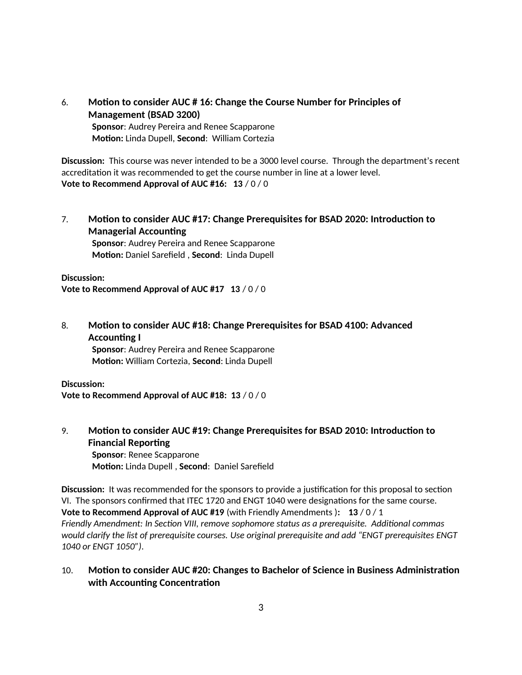6. **Motion to consider AUC # 16: Change the Course Number for Principles of Management (BSAD 3200) Sponsor**: Audrey Pereira and Renee Scapparone **Motion:** Linda Dupell, **Second**: William Cortezia

**Discussion:** This course was never intended to be a 3000 level course. Through the department's recent accreditation it was recommended to get the course number in line at a lower level. **Vote to Recommend Approval of AUC #16: 13** / 0 / 0

7. **Motion to consider AUC #17: Change Prerequisites for BSAD 2020: Introduction to Managerial Accounting**

**Sponsor**: Audrey Pereira and Renee Scapparone **Motion:** Daniel Sarefield , **Second**: Linda Dupell

**Discussion:**

**Vote to Recommend Approval of AUC #17 13** / 0 / 0

8. **Motion to consider AUC #18: Change Prerequisites for BSAD 4100: Advanced Accounting I Sponsor**: Audrey Pereira and Renee Scapparone **Motion:** William Cortezia, **Second**: Linda Dupell

### **Discussion: Vote to Recommend Approval of AUC #18: 13** / 0 / 0

9. **Motion to consider AUC #19: Change Prerequisites for BSAD 2010: Introduction to Financial Reporting**

**Sponsor**: Renee Scapparone **Motion:** Linda Dupell , **Second**: Daniel Sarefield

**Discussion:** It was recommended for the sponsors to provide a justification for this proposal to section VI. The sponsors confirmed that ITEC 1720 and ENGT 1040 were designations for the same course. **Vote to Recommend Approval of AUC #19** (with Friendly Amendments )**: 13** / 0 / 1 *Friendly Amendment: In Section VIII, remove sophomore status as a prerequisite. Additional commas would clarify the list of prerequisite courses. Use original prerequisite and add "ENGT prerequisites ENGT 1040 or ENGT 1050").*

# 10. **Motion to consider AUC #20: Changes to Bachelor of Science in Business Administration with Accounting Concentration**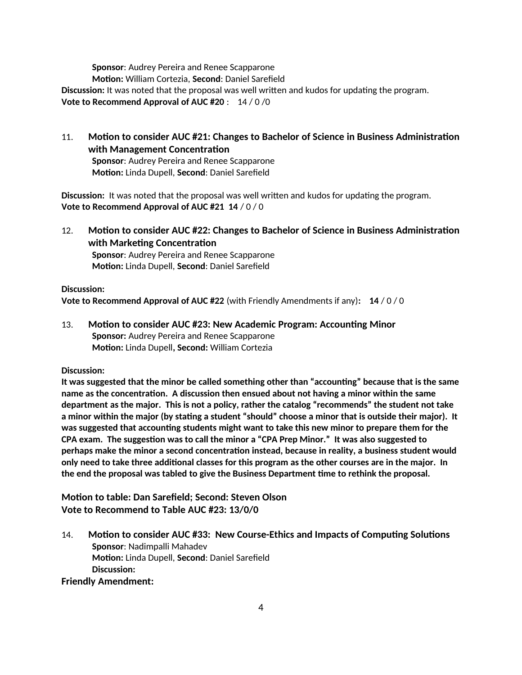**Sponsor**: Audrey Pereira and Renee Scapparone **Motion:** William Cortezia, **Second**: Daniel Sarefield **Discussion:** It was noted that the proposal was well written and kudos for updating the program. **Vote to Recommend Approval of AUC #20** : 14 / 0 /0

11. **Motion to consider AUC #21: Changes to Bachelor of Science in Business Administration with Management Concentration Sponsor**: Audrey Pereira and Renee Scapparone

**Motion:** Linda Dupell, **Second**: Daniel Sarefield

**Discussion:** It was noted that the proposal was well written and kudos for updating the program. **Vote to Recommend Approval of AUC #21 14** / 0 / 0

12. **Motion to consider AUC #22: Changes to Bachelor of Science in Business Administration with Marketing Concentration**

**Sponsor**: Audrey Pereira and Renee Scapparone **Motion:** Linda Dupell, **Second**: Daniel Sarefield

### **Discussion:**

**Vote to Recommend Approval of AUC #22** (with Friendly Amendments if any)**: 14** / 0 / 0

13. **Motion to consider AUC #23: New Academic Program: Accounting Minor Sponsor:** Audrey Pereira and Renee Scapparone **Motion:** Linda Dupell**, Second:** William Cortezia

### **Discussion:**

**It was suggested that the minor be called something other than "accounting" because that is the same name as the concentration. A discussion then ensued about not having a minor within the same department as the major. This is not a policy, rather the catalog "recommends" the student not take a minor within the major (by stating a student "should" choose a minor that is outside their major). It was suggested that accounting students might want to take this new minor to prepare them for the CPA exam. The suggestion was to call the minor a "CPA Prep Minor." It was also suggested to perhaps make the minor a second concentration instead, because in reality, a business student would only need to take three additional classes for this program as the other courses are in the major. In the end the proposal was tabled to give the Business Department time to rethink the proposal.**

**Motion to table: Dan Sarefield; Second: Steven Olson Vote to Recommend to Table AUC #23: 13/0/0**

14. **Motion to consider AUC #33: New Course-Ethics and Impacts of Computing Solutions Sponsor**: Nadimpalli Mahadev **Motion:** Linda Dupell, **Second**: Daniel Sarefield **Discussion:**

## **Friendly Amendment:**